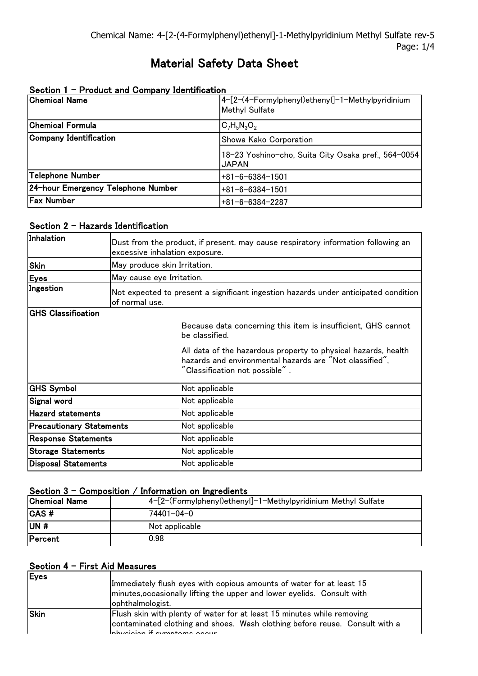# Material Safety Data Sheet

| <b>Chemical Name</b>               | 4-[2-(4-Formylphenyl)ethenyl]-1-Methylpyridinium<br><b>Methyl Sulfate</b> |
|------------------------------------|---------------------------------------------------------------------------|
| Chemical Formula                   | $C_7H_5N_3O_2$                                                            |
| Company Identification             | Showa Kako Corporation                                                    |
|                                    | 18-23 Yoshino-cho, Suita City Osaka pref., 564-0054<br><b>JAPAN</b>       |
| Telephone Number                   | $+81 - 6 - 6384 - 1501$                                                   |
| 24-hour Emergency Telephone Number | $+81 - 6 - 6384 - 1501$                                                   |
| <b>Fax Number</b>                  | $+81-6-6384-2287$                                                         |

# Section 1 - Product and Company Identification

# Section 2 - Hazards Identification

| Inhalation                      | Dust from the product, if present, may cause respiratory information following an<br>excessive inhalation exposure. |                                                                                                                                                                                                                                                                   |
|---------------------------------|---------------------------------------------------------------------------------------------------------------------|-------------------------------------------------------------------------------------------------------------------------------------------------------------------------------------------------------------------------------------------------------------------|
| <b>Skin</b>                     | May produce skin Irritation.                                                                                        |                                                                                                                                                                                                                                                                   |
| <b>Eyes</b>                     | May cause eye Irritation.                                                                                           |                                                                                                                                                                                                                                                                   |
| Ingestion                       | Not expected to present a significant ingestion hazards under anticipated condition<br>of normal use.               |                                                                                                                                                                                                                                                                   |
| <b>GHS Classification</b>       |                                                                                                                     | Because data concerning this item is insufficient, GHS cannot<br>be classified.<br>All data of the hazardous property to physical hazards, health<br>hazards and environmental hazards are "Not classified",<br>$\degree$ Classification not possible $\degree$ . |
| <b>GHS Symbol</b>               |                                                                                                                     | Not applicable                                                                                                                                                                                                                                                    |
| Signal word                     |                                                                                                                     | Not applicable                                                                                                                                                                                                                                                    |
| <b>Hazard statements</b>        |                                                                                                                     | Not applicable                                                                                                                                                                                                                                                    |
| <b>Precautionary Statements</b> |                                                                                                                     | Not applicable                                                                                                                                                                                                                                                    |
| <b>Response Statements</b>      |                                                                                                                     | Not applicable                                                                                                                                                                                                                                                    |
| <b>Storage Statements</b>       |                                                                                                                     | Not applicable                                                                                                                                                                                                                                                    |
| <b>Disposal Statements</b>      |                                                                                                                     | Not applicable                                                                                                                                                                                                                                                    |

# Section  $3$  - Composition / Information on Ingredients

| <b>Chemical Name</b> | 4-[2-(Formylphenyl)ethenyl]-1-Methylpyridinium Methyl Sulfate |
|----------------------|---------------------------------------------------------------|
| <b>CAS#</b>          | 74401-04-0                                                    |
| IUN #                | Not applicable                                                |
| Percent              | 0.98                                                          |

### Section 4 - First Aid Measures

| Eyes        | Immediately flush eyes with copious amounts of water for at least 15<br>minutes, occasionally lifting the upper and lower eyelids. Consult with<br>ophthalmologist.                   |  |
|-------------|---------------------------------------------------------------------------------------------------------------------------------------------------------------------------------------|--|
| <b>Skin</b> | Flush skin with plenty of water for at least 15 minutes while removing<br>contaminated clothing and shoes. Wash clothing before reuse. Consult with a<br>Inhusiaian if symptoms seeur |  |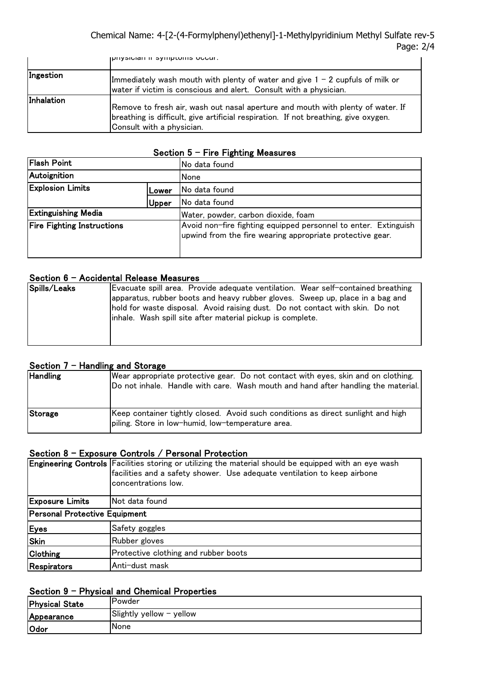Chemical Name: 4-[2-(4-Formylphenyl)ethenyl]-1-Methylpyridinium Methyl Sulfate rev-5 Page: 2/4 contaminated clothing and shoes. Wash clothing before reuse. Consult with a

|            | priyaluldir ir ayniptuma uuuur.                                                                                                                                                                     |
|------------|-----------------------------------------------------------------------------------------------------------------------------------------------------------------------------------------------------|
| Ingestion  | Immediately wash mouth with plenty of water and give $1 - 2$ cupfuls of milk or<br>water if victim is conscious and alert. Consult with a physician.                                                |
| Inhalation | Remove to fresh air, wash out nasal aperture and mouth with plenty of water. If<br>breathing is difficult, give artificial respiration. If not breathing, give oxygen.<br>Consult with a physician. |

# Section  $5$  - Fire Fighting Measures

| <b>Flash Point</b>                |       | No data found                                                                                                                |  |
|-----------------------------------|-------|------------------------------------------------------------------------------------------------------------------------------|--|
| Autoignition                      |       | None                                                                                                                         |  |
| <b>Explosion Limits</b><br>Lower  |       | No data found                                                                                                                |  |
|                                   | Upper | No data found                                                                                                                |  |
| <b>Extinguishing Media</b>        |       | Water, powder, carbon dioxide, foam                                                                                          |  |
| <b>Fire Fighting Instructions</b> |       | Avoid non-fire fighting equipped personnel to enter. Extinguish<br>upwind from the fire wearing appropriate protective gear. |  |

# Section 6 - Accidental Release Measures

| Spills/Leaks | Evacuate spill area. Provide adequate ventilation. Wear self-contained breathing |
|--------------|----------------------------------------------------------------------------------|
|              | apparatus, rubber boots and heavy rubber gloves. Sweep up, place in a bag and    |
|              | hold for waste disposal. Avoid raising dust. Do not contact with skin. Do not    |
|              | linhale. Wash spill site after material pickup is complete.                      |
|              |                                                                                  |
|              |                                                                                  |
|              |                                                                                  |

# Section 7 - Handling and Storage

| <b>Handling</b> | Wear appropriate protective gear. Do not contact with eyes, skin and on clothing.<br>Do not inhale. Handle with care. Wash mouth and hand after handling the material. |
|-----------------|------------------------------------------------------------------------------------------------------------------------------------------------------------------------|
| Storage         | Keep container tightly closed. Avoid such conditions as direct sunlight and high<br>piling. Store in low-humid, low-temperature area.                                  |

# Section 8 - Exposure Controls / Personal Protection

|                               | Engineering Controls Facilities storing or utilizing the material should be equipped with an eye wash<br>facilities and a safety shower. Use adequate ventilation to keep airbone<br>concentrations low. |  |
|-------------------------------|----------------------------------------------------------------------------------------------------------------------------------------------------------------------------------------------------------|--|
| <b>Exposure Limits</b>        | Not data found                                                                                                                                                                                           |  |
| Personal Protective Equipment |                                                                                                                                                                                                          |  |
| Eyes                          | Safety goggles                                                                                                                                                                                           |  |
| Skin                          | Rubber gloves                                                                                                                                                                                            |  |
| <b>Clothing</b>               | Protective clothing and rubber boots                                                                                                                                                                     |  |
| Respirators                   | Anti-dust mask                                                                                                                                                                                           |  |

# Section 9 - Physical and Chemical Properties

| <b>Physical State</b> | Powder                   |
|-----------------------|--------------------------|
| Appearance            | Slightly yellow - yellow |
| Odor                  | None                     |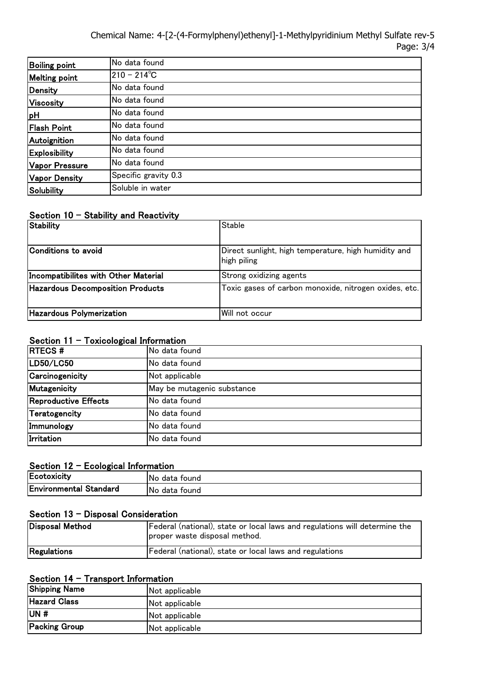Chemical Name: 4-[2-(4-Formylphenyl)ethenyl]-1-Methylpyridinium Methyl Sulfate rev-5 Page: 3/4

| Boiling point         | No data found        |
|-----------------------|----------------------|
| Melting point         | $210 - 214^{\circ}C$ |
| Density               | No data found        |
| Viscosity             | No data found        |
| pH                    | No data found        |
| <b>Flash Point</b>    | No data found        |
| Autoignition          | No data found        |
| <b>Explosibility</b>  | No data found        |
| <b>Vapor Pressure</b> | No data found        |
| <b>Vapor Density</b>  | Specific gravity 0.3 |
| <b>Solubility</b>     | Soluble in water     |

### Section  $10 -$  Stability and Reactivity

| <b>Stability</b>                        | <b>Stable</b>                                                       |
|-----------------------------------------|---------------------------------------------------------------------|
|                                         |                                                                     |
| Conditions to avoid                     | Direct sunlight, high temperature, high humidity and<br>high piling |
| Incompatibilites with Other Material    | Strong oxidizing agents                                             |
| <b>Hazardous Decomposition Products</b> | Toxic gases of carbon monoxide, nitrogen oxides, etc.               |
| <b>Hazardous Polymerization</b>         | Will not occur                                                      |

# Section 11 - Toxicological Information

| <b>RTECS#</b>        | No data found              |  |  |
|----------------------|----------------------------|--|--|
| LD50/LC50            | No data found              |  |  |
| Carcinogenicity      | Not applicable             |  |  |
| Mutagenicity         | May be mutagenic substance |  |  |
| Reproductive Effects | No data found              |  |  |
| Teratogencity        | No data found              |  |  |
| Immunology           | No data found              |  |  |
| Irritation           | No data found              |  |  |

## Section 12 - Ecological Information

| Ecotoxicity                   | No<br>tound<br>data  |
|-------------------------------|----------------------|
| <b>Environmental Standard</b> | No.<br>data<br>tound |

# Section 13 - Disposal Consideration

| Disposal Method | Federal (national), state or local laws and regulations will determine the<br>proper waste disposal method. |
|-----------------|-------------------------------------------------------------------------------------------------------------|
| Regulations     | Federal (national), state or local laws and regulations                                                     |

# Section 14 - Transport Information

| <b>Shipping Name</b> | Not applicable |  |
|----------------------|----------------|--|
| <b>Hazard Class</b>  | Not applicable |  |
| UN#                  | Not applicable |  |
| <b>Packing Group</b> | Not applicable |  |